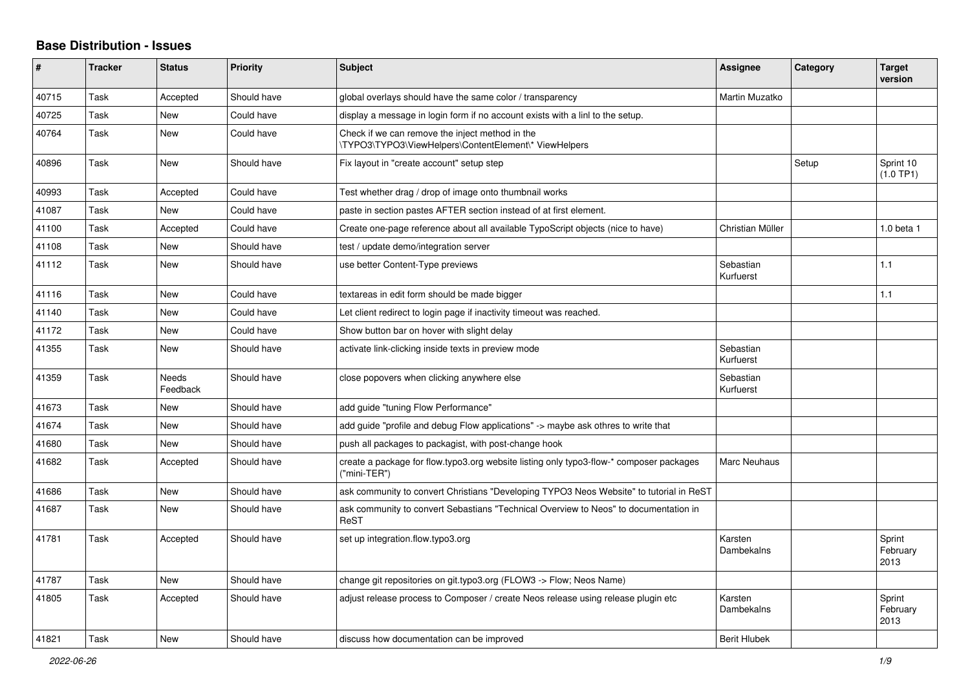## **Base Distribution - Issues**

| #     | <b>Tracker</b> | <b>Status</b>            | <b>Priority</b> | <b>Subject</b>                                                                                           | <b>Assignee</b>        | <b>Category</b> | <b>Target</b><br>version   |
|-------|----------------|--------------------------|-----------------|----------------------------------------------------------------------------------------------------------|------------------------|-----------------|----------------------------|
| 40715 | Task           | Accepted                 | Should have     | global overlays should have the same color / transparency                                                | Martin Muzatko         |                 |                            |
| 40725 | Task           | <b>New</b>               | Could have      | display a message in login form if no account exists with a linl to the setup.                           |                        |                 |                            |
| 40764 | Task           | New                      | Could have      | Check if we can remove the inject method in the<br>\TYPO3\TYPO3\ViewHelpers\ContentElement\* ViewHelpers |                        |                 |                            |
| 40896 | Task           | <b>New</b>               | Should have     | Fix layout in "create account" setup step                                                                |                        | Setup           | Sprint 10<br>(1.0 TP1)     |
| 40993 | Task           | Accepted                 | Could have      | Test whether drag / drop of image onto thumbnail works                                                   |                        |                 |                            |
| 41087 | Task           | <b>New</b>               | Could have      | paste in section pastes AFTER section instead of at first element.                                       |                        |                 |                            |
| 41100 | Task           | Accepted                 | Could have      | Create one-page reference about all available TypoScript objects (nice to have)                          | Christian Müller       |                 | 1.0 beta 1                 |
| 41108 | Task           | <b>New</b>               | Should have     | test / update demo/integration server                                                                    |                        |                 |                            |
| 41112 | Task           | <b>New</b>               | Should have     | use better Content-Type previews                                                                         | Sebastian<br>Kurfuerst |                 | 1.1                        |
| 41116 | Task           | <b>New</b>               | Could have      | textareas in edit form should be made bigger                                                             |                        |                 | 1.1                        |
| 41140 | Task           | <b>New</b>               | Could have      | Let client redirect to login page if inactivity timeout was reached.                                     |                        |                 |                            |
| 41172 | Task           | <b>New</b>               | Could have      | Show button bar on hover with slight delay                                                               |                        |                 |                            |
| 41355 | Task           | <b>New</b>               | Should have     | activate link-clicking inside texts in preview mode                                                      | Sebastian<br>Kurfuerst |                 |                            |
| 41359 | Task           | <b>Needs</b><br>Feedback | Should have     | close popovers when clicking anywhere else                                                               | Sebastian<br>Kurfuerst |                 |                            |
| 41673 | Task           | <b>New</b>               | Should have     | add guide "tuning Flow Performance"                                                                      |                        |                 |                            |
| 41674 | Task           | <b>New</b>               | Should have     | add guide "profile and debug Flow applications" -> maybe ask othres to write that                        |                        |                 |                            |
| 41680 | Task           | <b>New</b>               | Should have     | push all packages to packagist, with post-change hook                                                    |                        |                 |                            |
| 41682 | Task           | Accepted                 | Should have     | create a package for flow typo3 org website listing only typo3-flow-* composer packages<br>("mini-TER")  | Marc Neuhaus           |                 |                            |
| 41686 | Task           | <b>New</b>               | Should have     | ask community to convert Christians "Developing TYPO3 Neos Website" to tutorial in ReST                  |                        |                 |                            |
| 41687 | Task           | <b>New</b>               | Should have     | ask community to convert Sebastians "Technical Overview to Neos" to documentation in<br>ReST             |                        |                 |                            |
| 41781 | Task           | Accepted                 | Should have     | set up integration.flow.typo3.org                                                                        | Karsten<br>Dambekalns  |                 | Sprint<br>February<br>2013 |
| 41787 | Task           | <b>New</b>               | Should have     | change git repositories on git.typo3.org (FLOW3 -> Flow; Neos Name)                                      |                        |                 |                            |
| 41805 | Task           | Accepted                 | Should have     | adjust release process to Composer / create Neos release using release plugin etc                        | Karsten<br>Dambekalns  |                 | Sprint<br>February<br>2013 |
| 41821 | Task           | <b>New</b>               | Should have     | discuss how documentation can be improved                                                                | <b>Berit Hlubek</b>    |                 |                            |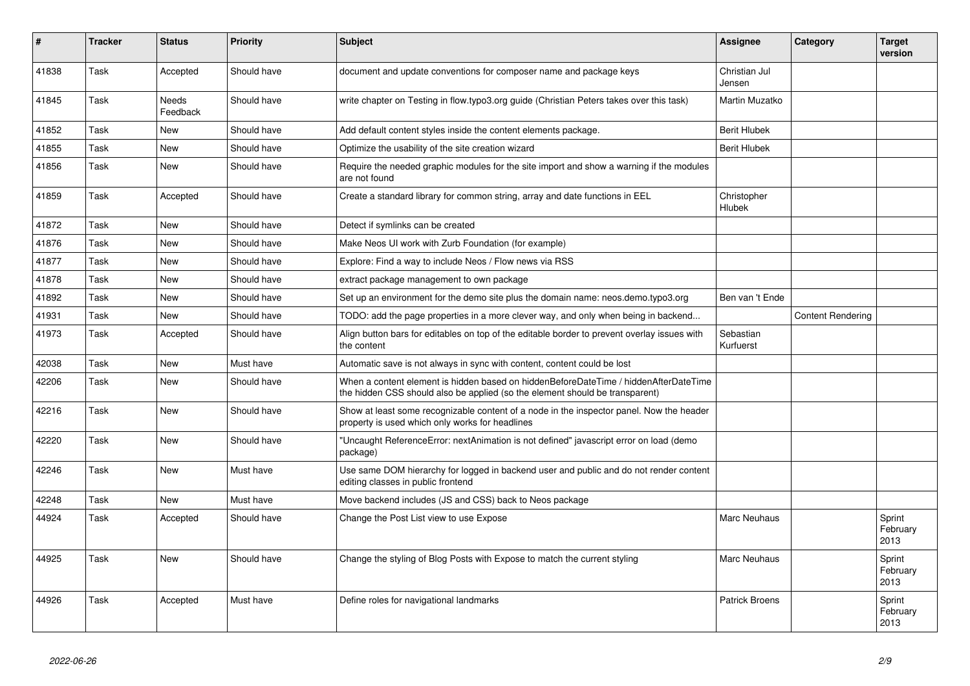| #     | <b>Tracker</b> | <b>Status</b>            | <b>Priority</b> | <b>Subject</b>                                                                                                                                                       | Assignee                | Category                 | <b>Target</b><br>version   |
|-------|----------------|--------------------------|-----------------|----------------------------------------------------------------------------------------------------------------------------------------------------------------------|-------------------------|--------------------------|----------------------------|
| 41838 | Task           | Accepted                 | Should have     | document and update conventions for composer name and package keys                                                                                                   | Christian Jul<br>Jensen |                          |                            |
| 41845 | Task           | <b>Needs</b><br>Feedback | Should have     | write chapter on Testing in flow.typo3.org guide (Christian Peters takes over this task)                                                                             | Martin Muzatko          |                          |                            |
| 41852 | Task           | <b>New</b>               | Should have     | Add default content styles inside the content elements package.                                                                                                      | <b>Berit Hlubek</b>     |                          |                            |
| 41855 | Task           | <b>New</b>               | Should have     | Optimize the usability of the site creation wizard                                                                                                                   | <b>Berit Hlubek</b>     |                          |                            |
| 41856 | Task           | <b>New</b>               | Should have     | Require the needed graphic modules for the site import and show a warning if the modules<br>are not found                                                            |                         |                          |                            |
| 41859 | Task           | Accepted                 | Should have     | Create a standard library for common string, array and date functions in EEL                                                                                         | Christopher<br>Hlubek   |                          |                            |
| 41872 | Task           | New                      | Should have     | Detect if symlinks can be created                                                                                                                                    |                         |                          |                            |
| 41876 | Task           | <b>New</b>               | Should have     | Make Neos UI work with Zurb Foundation (for example)                                                                                                                 |                         |                          |                            |
| 41877 | Task           | <b>New</b>               | Should have     | Explore: Find a way to include Neos / Flow news via RSS                                                                                                              |                         |                          |                            |
| 41878 | Task           | New                      | Should have     | extract package management to own package                                                                                                                            |                         |                          |                            |
| 41892 | Task           | New                      | Should have     | Set up an environment for the demo site plus the domain name: neos.demo.typo3.org                                                                                    | Ben van 't Ende         |                          |                            |
| 41931 | Task           | <b>New</b>               | Should have     | TODO: add the page properties in a more clever way, and only when being in backend                                                                                   |                         | <b>Content Rendering</b> |                            |
| 41973 | Task           | Accepted                 | Should have     | Align button bars for editables on top of the editable border to prevent overlay issues with<br>the content                                                          | Sebastian<br>Kurfuerst  |                          |                            |
| 42038 | Task           | <b>New</b>               | Must have       | Automatic save is not always in sync with content, content could be lost                                                                                             |                         |                          |                            |
| 42206 | Task           | <b>New</b>               | Should have     | When a content element is hidden based on hiddenBeforeDateTime / hiddenAfterDateTime<br>the hidden CSS should also be applied (so the element should be transparent) |                         |                          |                            |
| 42216 | Task           | <b>New</b>               | Should have     | Show at least some recognizable content of a node in the inspector panel. Now the header<br>property is used which only works for headlines                          |                         |                          |                            |
| 42220 | Task           | <b>New</b>               | Should have     | "Uncaught ReferenceError: nextAnimation is not defined" javascript error on load (demo<br>package)                                                                   |                         |                          |                            |
| 42246 | Task           | <b>New</b>               | Must have       | Use same DOM hierarchy for logged in backend user and public and do not render content<br>editing classes in public frontend                                         |                         |                          |                            |
| 42248 | Task           | <b>New</b>               | Must have       | Move backend includes (JS and CSS) back to Neos package                                                                                                              |                         |                          |                            |
| 44924 | Task           | Accepted                 | Should have     | Change the Post List view to use Expose                                                                                                                              | Marc Neuhaus            |                          | Sprint<br>February<br>2013 |
| 44925 | Task           | <b>New</b>               | Should have     | Change the styling of Blog Posts with Expose to match the current styling                                                                                            | Marc Neuhaus            |                          | Sprint<br>February<br>2013 |
| 44926 | Task           | Accepted                 | Must have       | Define roles for navigational landmarks                                                                                                                              | <b>Patrick Broens</b>   |                          | Sprint<br>February<br>2013 |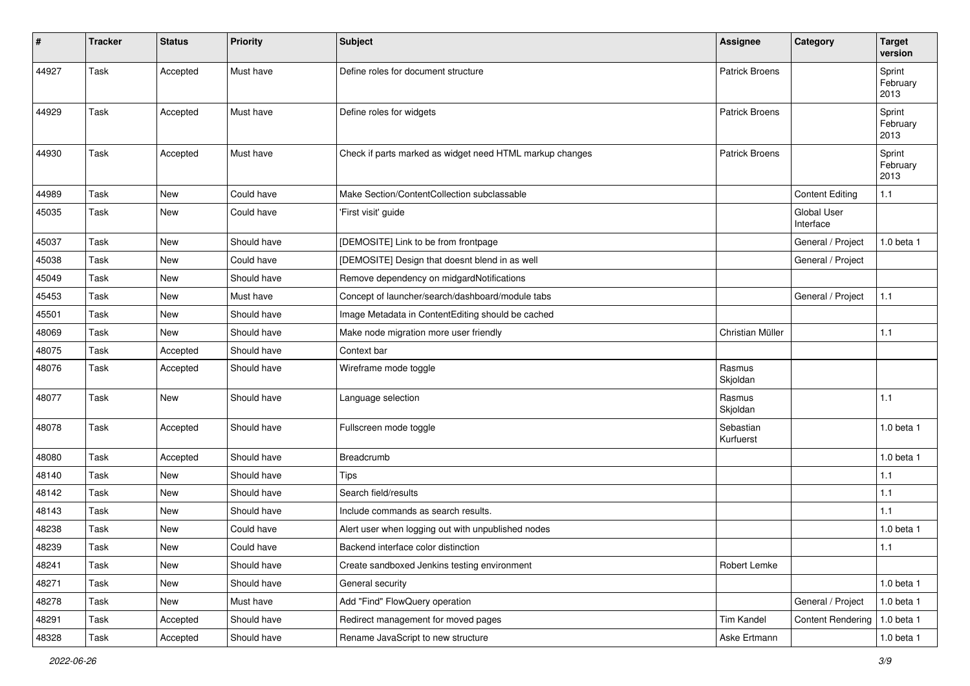| #     | <b>Tracker</b> | <b>Status</b> | Priority    | <b>Subject</b>                                           | <b>Assignee</b>        | Category                        | <b>Target</b><br>version   |
|-------|----------------|---------------|-------------|----------------------------------------------------------|------------------------|---------------------------------|----------------------------|
| 44927 | Task           | Accepted      | Must have   | Define roles for document structure                      | <b>Patrick Broens</b>  |                                 | Sprint<br>February<br>2013 |
| 44929 | Task           | Accepted      | Must have   | Define roles for widgets                                 | <b>Patrick Broens</b>  |                                 | Sprint<br>February<br>2013 |
| 44930 | Task           | Accepted      | Must have   | Check if parts marked as widget need HTML markup changes | <b>Patrick Broens</b>  |                                 | Sprint<br>February<br>2013 |
| 44989 | Task           | New           | Could have  | Make Section/ContentCollection subclassable              |                        | <b>Content Editing</b>          | $1.1$                      |
| 45035 | Task           | <b>New</b>    | Could have  | 'First visit' guide                                      |                        | <b>Global User</b><br>Interface |                            |
| 45037 | Task           | New           | Should have | [DEMOSITE] Link to be from frontpage                     |                        | General / Project               | $1.0$ beta $1$             |
| 45038 | Task           | New           | Could have  | [DEMOSITE] Design that doesnt blend in as well           |                        | General / Project               |                            |
| 45049 | Task           | <b>New</b>    | Should have | Remove dependency on midgardNotifications                |                        |                                 |                            |
| 45453 | Task           | New           | Must have   | Concept of launcher/search/dashboard/module tabs         |                        | General / Project               | 1.1                        |
| 45501 | Task           | <b>New</b>    | Should have | Image Metadata in ContentEditing should be cached        |                        |                                 |                            |
| 48069 | Task           | New           | Should have | Make node migration more user friendly                   | Christian Müller       |                                 | 1.1                        |
| 48075 | Task           | Accepted      | Should have | Context bar                                              |                        |                                 |                            |
| 48076 | Task           | Accepted      | Should have | Wireframe mode toggle                                    | Rasmus<br>Skjoldan     |                                 |                            |
| 48077 | Task           | <b>New</b>    | Should have | Language selection                                       | Rasmus<br>Skjoldan     |                                 | 1.1                        |
| 48078 | Task           | Accepted      | Should have | Fullscreen mode toggle                                   | Sebastian<br>Kurfuerst |                                 | 1.0 beta 1                 |
| 48080 | Task           | Accepted      | Should have | Breadcrumb                                               |                        |                                 | 1.0 beta 1                 |
| 48140 | Task           | <b>New</b>    | Should have | <b>Tips</b>                                              |                        |                                 | 1.1                        |
| 48142 | Task           | <b>New</b>    | Should have | Search field/results                                     |                        |                                 | 1.1                        |
| 48143 | Task           | <b>New</b>    | Should have | Include commands as search results.                      |                        |                                 | 1.1                        |
| 48238 | Task           | <b>New</b>    | Could have  | Alert user when logging out with unpublished nodes       |                        |                                 | 1.0 beta 1                 |
| 48239 | Task           | New           | Could have  | Backend interface color distinction                      |                        |                                 | 1.1                        |
| 48241 | Task           | New           | Should have | Create sandboxed Jenkins testing environment             | Robert Lemke           |                                 |                            |
| 48271 | Task           | New           | Should have | General security                                         |                        |                                 | 1.0 beta 1                 |
| 48278 | Task           | New           | Must have   | Add "Find" FlowQuery operation                           |                        | General / Project               | 1.0 beta 1                 |
| 48291 | Task           | Accepted      | Should have | Redirect management for moved pages                      | Tim Kandel             | <b>Content Rendering</b>        | 1.0 beta 1                 |
| 48328 | Task           | Accepted      | Should have | Rename JavaScript to new structure                       | Aske Ertmann           |                                 | 1.0 beta 1                 |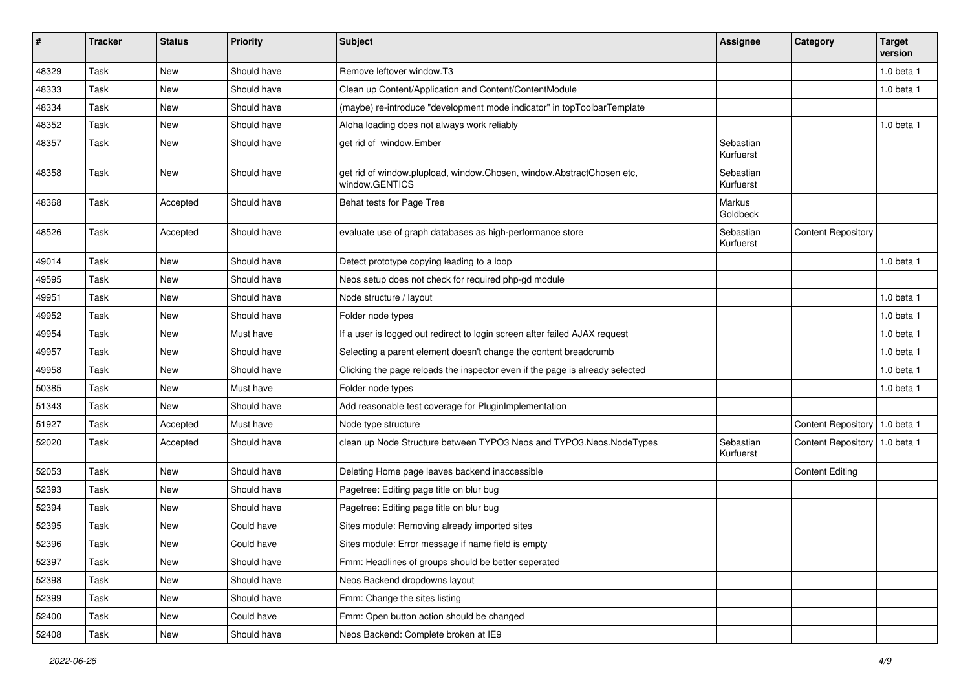| $\sharp$ | <b>Tracker</b> | <b>Status</b> | <b>Priority</b> | <b>Subject</b>                                                                          | <b>Assignee</b>        | Category                        | <b>Target</b><br>version |
|----------|----------------|---------------|-----------------|-----------------------------------------------------------------------------------------|------------------------|---------------------------------|--------------------------|
| 48329    | Task           | <b>New</b>    | Should have     | Remove leftover window.T3                                                               |                        |                                 | 1.0 beta 1               |
| 48333    | Task           | New           | Should have     | Clean up Content/Application and Content/ContentModule                                  |                        |                                 | 1.0 beta 1               |
| 48334    | Task           | <b>New</b>    | Should have     | (maybe) re-introduce "development mode indicator" in topToolbarTemplate                 |                        |                                 |                          |
| 48352    | Task           | <b>New</b>    | Should have     | Aloha loading does not always work reliably                                             |                        |                                 | 1.0 beta 1               |
| 48357    | Task           | <b>New</b>    | Should have     | get rid of window.Ember                                                                 | Sebastian<br>Kurfuerst |                                 |                          |
| 48358    | Task           | New           | Should have     | get rid of window.plupload, window.Chosen, window.AbstractChosen etc,<br>window.GENTICS | Sebastian<br>Kurfuerst |                                 |                          |
| 48368    | Task           | Accepted      | Should have     | Behat tests for Page Tree                                                               | Markus<br>Goldbeck     |                                 |                          |
| 48526    | Task           | Accepted      | Should have     | evaluate use of graph databases as high-performance store                               | Sebastian<br>Kurfuerst | <b>Content Repository</b>       |                          |
| 49014    | Task           | <b>New</b>    | Should have     | Detect prototype copying leading to a loop                                              |                        |                                 | 1.0 beta 1               |
| 49595    | Task           | <b>New</b>    | Should have     | Neos setup does not check for required php-gd module                                    |                        |                                 |                          |
| 49951    | Task           | <b>New</b>    | Should have     | Node structure / layout                                                                 |                        |                                 | 1.0 beta 1               |
| 49952    | Task           | <b>New</b>    | Should have     | Folder node types                                                                       |                        |                                 | 1.0 beta 1               |
| 49954    | Task           | <b>New</b>    | Must have       | If a user is logged out redirect to login screen after failed AJAX request              |                        |                                 | 1.0 beta 1               |
| 49957    | Task           | <b>New</b>    | Should have     | Selecting a parent element doesn't change the content breadcrumb                        |                        |                                 | 1.0 beta 1               |
| 49958    | Task           | <b>New</b>    | Should have     | Clicking the page reloads the inspector even if the page is already selected            |                        |                                 | 1.0 beta 1               |
| 50385    | Task           | New           | Must have       | Folder node types                                                                       |                        |                                 | 1.0 beta 1               |
| 51343    | Task           | <b>New</b>    | Should have     | Add reasonable test coverage for PluginImplementation                                   |                        |                                 |                          |
| 51927    | Task           | Accepted      | Must have       | Node type structure                                                                     |                        | Content Repository   1.0 beta 1 |                          |
| 52020    | Task           | Accepted      | Should have     | clean up Node Structure between TYPO3 Neos and TYPO3.Neos.NodeTypes                     | Sebastian<br>Kurfuerst | Content Repository   1.0 beta 1 |                          |
| 52053    | <b>Task</b>    | <b>New</b>    | Should have     | Deleting Home page leaves backend inaccessible                                          |                        | <b>Content Editing</b>          |                          |
| 52393    | Task           | <b>New</b>    | Should have     | Pagetree: Editing page title on blur bug                                                |                        |                                 |                          |
| 52394    | Task           | <b>New</b>    | Should have     | Pagetree: Editing page title on blur bug                                                |                        |                                 |                          |
| 52395    | Task           | New           | Could have      | Sites module: Removing already imported sites                                           |                        |                                 |                          |
| 52396    | Task           | <b>New</b>    | Could have      | Sites module: Error message if name field is empty                                      |                        |                                 |                          |
| 52397    | Task           | New           | Should have     | Fmm: Headlines of groups should be better seperated                                     |                        |                                 |                          |
| 52398    | Task           | New           | Should have     | Neos Backend dropdowns layout                                                           |                        |                                 |                          |
| 52399    | Task           | New           | Should have     | Fmm: Change the sites listing                                                           |                        |                                 |                          |
| 52400    | Task           | New           | Could have      | Fmm: Open button action should be changed                                               |                        |                                 |                          |
| 52408    | Task           | New           | Should have     | Neos Backend: Complete broken at IE9                                                    |                        |                                 |                          |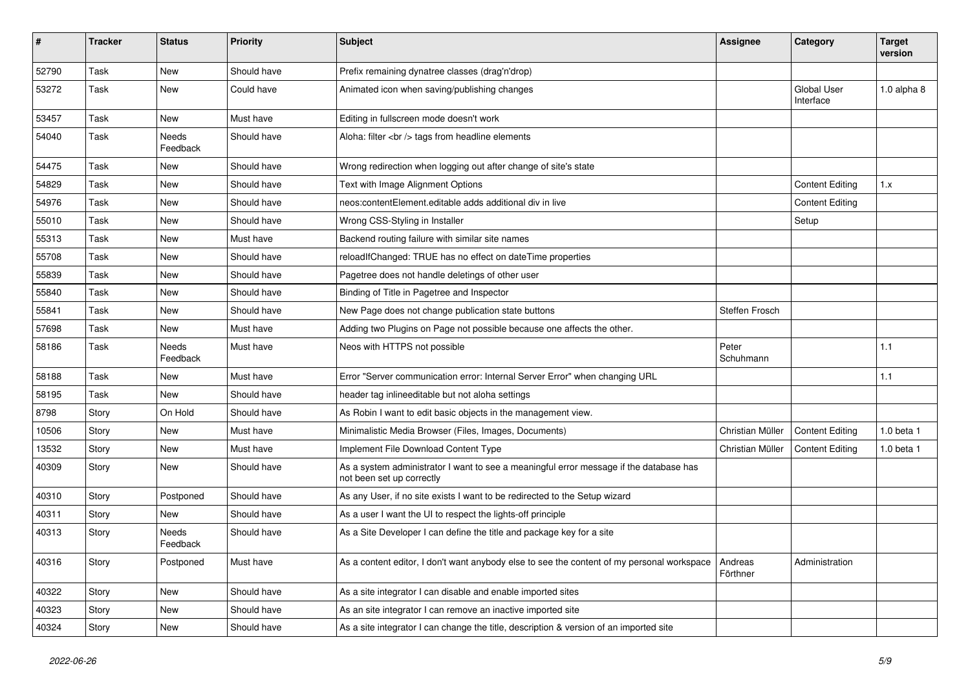| $\sharp$ | <b>Tracker</b> | <b>Status</b>            | <b>Priority</b> | <b>Subject</b>                                                                                                      | <b>Assignee</b>     | Category                        | <b>Target</b><br>version |
|----------|----------------|--------------------------|-----------------|---------------------------------------------------------------------------------------------------------------------|---------------------|---------------------------------|--------------------------|
| 52790    | Task           | <b>New</b>               | Should have     | Prefix remaining dynatree classes (drag'n'drop)                                                                     |                     |                                 |                          |
| 53272    | Task           | New                      | Could have      | Animated icon when saving/publishing changes                                                                        |                     | <b>Global User</b><br>Interface | $1.0$ alpha $8$          |
| 53457    | Task           | New                      | Must have       | Editing in fullscreen mode doesn't work                                                                             |                     |                                 |                          |
| 54040    | Task           | Needs<br>Feedback        | Should have     | Aloha: filter<br>tags from headline elements                                                                        |                     |                                 |                          |
| 54475    | Task           | New                      | Should have     | Wrong redirection when logging out after change of site's state                                                     |                     |                                 |                          |
| 54829    | Task           | <b>New</b>               | Should have     | Text with Image Alignment Options                                                                                   |                     | <b>Content Editing</b>          | 1.x                      |
| 54976    | Task           | <b>New</b>               | Should have     | neos:contentElement.editable adds additional div in live                                                            |                     | <b>Content Editing</b>          |                          |
| 55010    | Task           | New                      | Should have     | Wrong CSS-Styling in Installer                                                                                      |                     | Setup                           |                          |
| 55313    | Task           | <b>New</b>               | Must have       | Backend routing failure with similar site names                                                                     |                     |                                 |                          |
| 55708    | Task           | <b>New</b>               | Should have     | reloadIfChanged: TRUE has no effect on dateTime properties                                                          |                     |                                 |                          |
| 55839    | Task           | <b>New</b>               | Should have     | Pagetree does not handle deletings of other user                                                                    |                     |                                 |                          |
| 55840    | Task           | <b>New</b>               | Should have     | Binding of Title in Pagetree and Inspector                                                                          |                     |                                 |                          |
| 55841    | Task           | <b>New</b>               | Should have     | New Page does not change publication state buttons                                                                  | Steffen Frosch      |                                 |                          |
| 57698    | Task           | New                      | Must have       | Adding two Plugins on Page not possible because one affects the other.                                              |                     |                                 |                          |
| 58186    | Task           | <b>Needs</b><br>Feedback | Must have       | Neos with HTTPS not possible                                                                                        | Peter<br>Schuhmann  |                                 | 1.1                      |
| 58188    | Task           | <b>New</b>               | Must have       | Error "Server communication error: Internal Server Error" when changing URL                                         |                     |                                 | 1.1                      |
| 58195    | Task           | New                      | Should have     | header tag inlineeditable but not aloha settings                                                                    |                     |                                 |                          |
| 8798     | Story          | On Hold                  | Should have     | As Robin I want to edit basic objects in the management view.                                                       |                     |                                 |                          |
| 10506    | Story          | <b>New</b>               | Must have       | Minimalistic Media Browser (Files, Images, Documents)                                                               | Christian Müller    | <b>Content Editing</b>          | 1.0 beta 1               |
| 13532    | Story          | <b>New</b>               | Must have       | Implement File Download Content Type                                                                                | Christian Müller    | <b>Content Editing</b>          | $1.0$ beta $1$           |
| 40309    | Story          | <b>New</b>               | Should have     | As a system administrator I want to see a meaningful error message if the database has<br>not been set up correctly |                     |                                 |                          |
| 40310    | Story          | Postponed                | Should have     | As any User, if no site exists I want to be redirected to the Setup wizard                                          |                     |                                 |                          |
| 40311    | Story          | <b>New</b>               | Should have     | As a user I want the UI to respect the lights-off principle                                                         |                     |                                 |                          |
| 40313    | Story          | Needs<br>Feedback        | Should have     | As a Site Developer I can define the title and package key for a site                                               |                     |                                 |                          |
| 40316    | Story          | Postponed                | Must have       | As a content editor, I don't want anybody else to see the content of my personal workspace                          | Andreas<br>Förthner | Administration                  |                          |
| 40322    | Story          | New                      | Should have     | As a site integrator I can disable and enable imported sites                                                        |                     |                                 |                          |
| 40323    | Story          | New                      | Should have     | As an site integrator I can remove an inactive imported site                                                        |                     |                                 |                          |
| 40324    | Story          | New                      | Should have     | As a site integrator I can change the title, description & version of an imported site                              |                     |                                 |                          |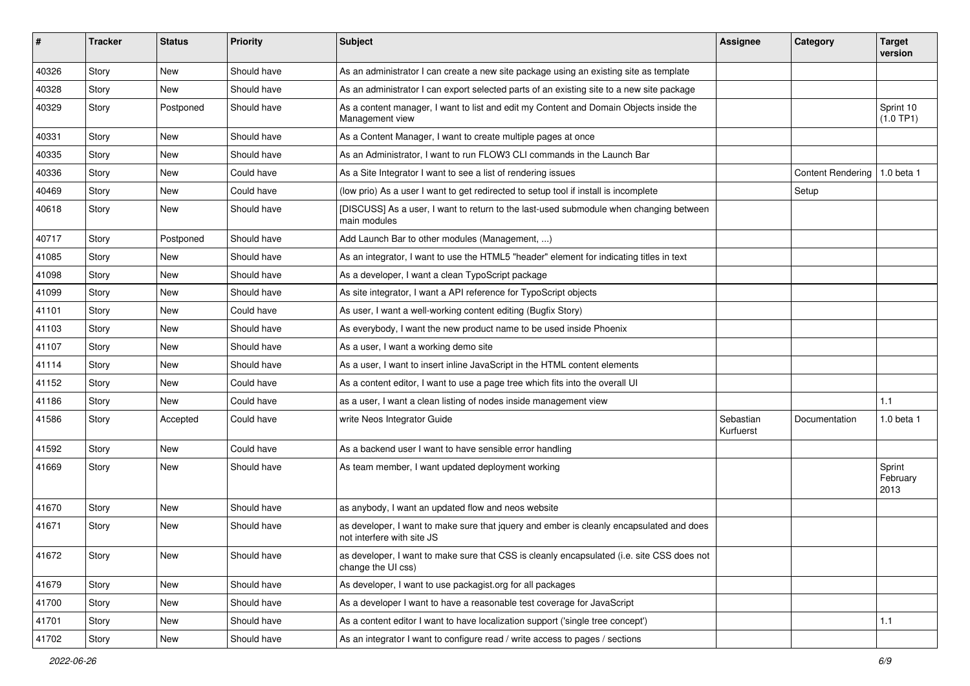| ∦     | <b>Tracker</b> | <b>Status</b> | <b>Priority</b> | Subject                                                                                                                | Assignee               | Category          | <b>Target</b><br>version   |
|-------|----------------|---------------|-----------------|------------------------------------------------------------------------------------------------------------------------|------------------------|-------------------|----------------------------|
| 40326 | Story          | <b>New</b>    | Should have     | As an administrator I can create a new site package using an existing site as template                                 |                        |                   |                            |
| 40328 | Story          | New           | Should have     | As an administrator I can export selected parts of an existing site to a new site package                              |                        |                   |                            |
| 40329 | Story          | Postponed     | Should have     | As a content manager, I want to list and edit my Content and Domain Objects inside the<br>Management view              |                        |                   | Sprint 10<br>(1.0 TP1)     |
| 40331 | Story          | <b>New</b>    | Should have     | As a Content Manager, I want to create multiple pages at once                                                          |                        |                   |                            |
| 40335 | Story          | <b>New</b>    | Should have     | As an Administrator. I want to run FLOW3 CLI commands in the Launch Bar                                                |                        |                   |                            |
| 40336 | Story          | New           | Could have      | As a Site Integrator I want to see a list of rendering issues                                                          |                        | Content Rendering | 1.0 beta 1                 |
| 40469 | Story          | New           | Could have      | (low prio) As a user I want to get redirected to setup tool if install is incomplete                                   |                        | Setup             |                            |
| 40618 | Story          | <b>New</b>    | Should have     | [DISCUSS] As a user, I want to return to the last-used submodule when changing between<br>main modules                 |                        |                   |                            |
| 40717 | Story          | Postponed     | Should have     | Add Launch Bar to other modules (Management, )                                                                         |                        |                   |                            |
| 41085 | Story          | <b>New</b>    | Should have     | As an integrator, I want to use the HTML5 "header" element for indicating titles in text                               |                        |                   |                            |
| 41098 | Story          | New           | Should have     | As a developer, I want a clean TypoScript package                                                                      |                        |                   |                            |
| 41099 | Story          | <b>New</b>    | Should have     | As site integrator, I want a API reference for TypoScript objects                                                      |                        |                   |                            |
| 41101 | Story          | New           | Could have      | As user, I want a well-working content editing (Bugfix Story)                                                          |                        |                   |                            |
| 41103 | Story          | New           | Should have     | As everybody, I want the new product name to be used inside Phoenix                                                    |                        |                   |                            |
| 41107 | Story          | <b>New</b>    | Should have     | As a user, I want a working demo site                                                                                  |                        |                   |                            |
| 41114 | Story          | New           | Should have     | As a user, I want to insert inline JavaScript in the HTML content elements                                             |                        |                   |                            |
| 41152 | Story          | New           | Could have      | As a content editor, I want to use a page tree which fits into the overall UI                                          |                        |                   |                            |
| 41186 | Story          | New           | Could have      | as a user, I want a clean listing of nodes inside management view                                                      |                        |                   | 1.1                        |
| 41586 | Story          | Accepted      | Could have      | write Neos Integrator Guide                                                                                            | Sebastian<br>Kurfuerst | Documentation     | 1.0 beta 1                 |
| 41592 | Story          | <b>New</b>    | Could have      | As a backend user I want to have sensible error handling                                                               |                        |                   |                            |
| 41669 | Story          | New           | Should have     | As team member, I want updated deployment working                                                                      |                        |                   | Sprint<br>February<br>2013 |
| 41670 | Story          | New           | Should have     | as anybody, I want an updated flow and neos website                                                                    |                        |                   |                            |
| 41671 | Story          | New           | Should have     | as developer, I want to make sure that jquery and ember is cleanly encapsulated and does<br>not interfere with site JS |                        |                   |                            |
| 41672 | Story          | New           | Should have     | as developer, I want to make sure that CSS is cleanly encapsulated (i.e. site CSS does not<br>change the UI css)       |                        |                   |                            |
| 41679 | Story          | New           | Should have     | As developer, I want to use packagist.org for all packages                                                             |                        |                   |                            |
| 41700 | Story          | <b>New</b>    | Should have     | As a developer I want to have a reasonable test coverage for JavaScript                                                |                        |                   |                            |
| 41701 | Story          | New           | Should have     | As a content editor I want to have localization support ('single tree concept')                                        |                        |                   | 1.1                        |
| 41702 | Story          | New           | Should have     | As an integrator I want to configure read / write access to pages / sections                                           |                        |                   |                            |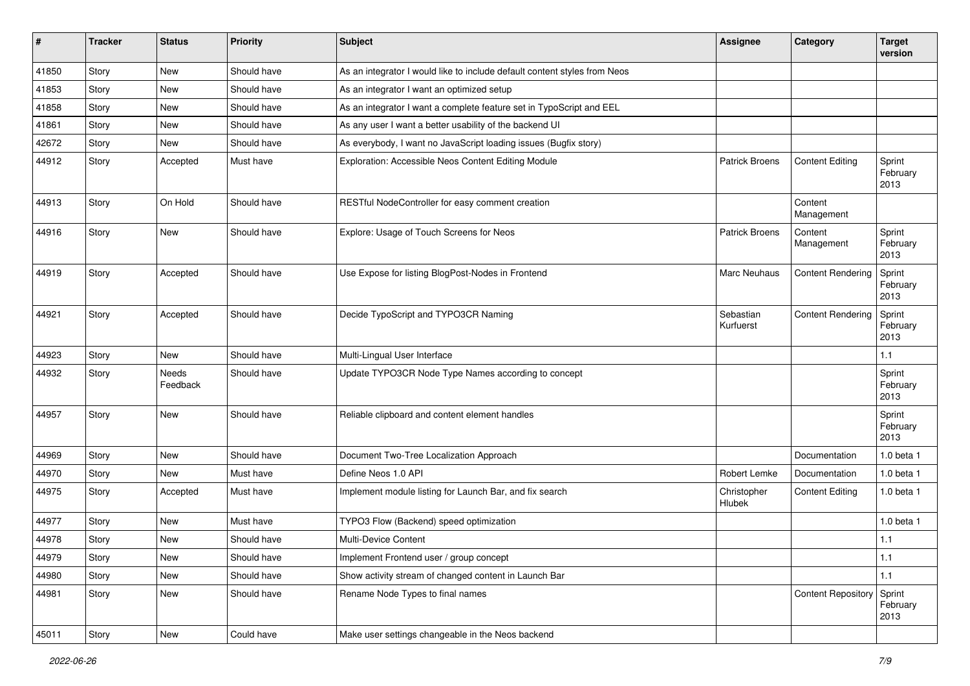| #     | <b>Tracker</b> | <b>Status</b>     | <b>Priority</b> | <b>Subject</b>                                                            | Assignee               | Category                  | Target<br>version          |
|-------|----------------|-------------------|-----------------|---------------------------------------------------------------------------|------------------------|---------------------------|----------------------------|
| 41850 | Story          | New               | Should have     | As an integrator I would like to include default content styles from Neos |                        |                           |                            |
| 41853 | Story          | New               | Should have     | As an integrator I want an optimized setup                                |                        |                           |                            |
| 41858 | Story          | New               | Should have     | As an integrator I want a complete feature set in TypoScript and EEL      |                        |                           |                            |
| 41861 | Story          | <b>New</b>        | Should have     | As any user I want a better usability of the backend UI                   |                        |                           |                            |
| 42672 | Story          | New               | Should have     | As everybody, I want no JavaScript loading issues (Bugfix story)          |                        |                           |                            |
| 44912 | Story          | Accepted          | Must have       | Exploration: Accessible Neos Content Editing Module                       | <b>Patrick Broens</b>  | <b>Content Editing</b>    | Sprint<br>February<br>2013 |
| 44913 | Story          | On Hold           | Should have     | RESTful NodeController for easy comment creation                          |                        | Content<br>Management     |                            |
| 44916 | Story          | <b>New</b>        | Should have     | Explore: Usage of Touch Screens for Neos                                  | <b>Patrick Broens</b>  | Content<br>Management     | Sprint<br>February<br>2013 |
| 44919 | Story          | Accepted          | Should have     | Use Expose for listing BlogPost-Nodes in Frontend                         | <b>Marc Neuhaus</b>    | <b>Content Rendering</b>  | Sprint<br>February<br>2013 |
| 44921 | Story          | Accepted          | Should have     | Decide TypoScript and TYPO3CR Naming                                      | Sebastian<br>Kurfuerst | <b>Content Rendering</b>  | Sprint<br>February<br>2013 |
| 44923 | Story          | New               | Should have     | Multi-Lingual User Interface                                              |                        |                           | 1.1                        |
| 44932 | Story          | Needs<br>Feedback | Should have     | Update TYPO3CR Node Type Names according to concept                       |                        |                           | Sprint<br>February<br>2013 |
| 44957 | Story          | New               | Should have     | Reliable clipboard and content element handles                            |                        |                           | Sprint<br>February<br>2013 |
| 44969 | Story          | New               | Should have     | Document Two-Tree Localization Approach                                   |                        | Documentation             | $1.0$ beta $1$             |
| 44970 | Story          | New               | Must have       | Define Neos 1.0 API                                                       | Robert Lemke           | Documentation             | $1.0$ beta $1$             |
| 44975 | Story          | Accepted          | Must have       | Implement module listing for Launch Bar, and fix search                   | Christopher<br>Hlubek  | <b>Content Editing</b>    | 1.0 beta 1                 |
| 44977 | Story          | New               | Must have       | TYPO3 Flow (Backend) speed optimization                                   |                        |                           | 1.0 beta 1                 |
| 44978 | Story          | New               | Should have     | <b>Multi-Device Content</b>                                               |                        |                           | 1.1                        |
| 44979 | Story          | New               | Should have     | Implement Frontend user / group concept                                   |                        |                           | $1.1$                      |
| 44980 | Story          | New               | Should have     | Show activity stream of changed content in Launch Bar                     |                        |                           | 1.1                        |
| 44981 | Story          | New               | Should have     | Rename Node Types to final names                                          |                        | <b>Content Repository</b> | Sprint<br>February<br>2013 |
| 45011 | Story          | New               | Could have      | Make user settings changeable in the Neos backend                         |                        |                           |                            |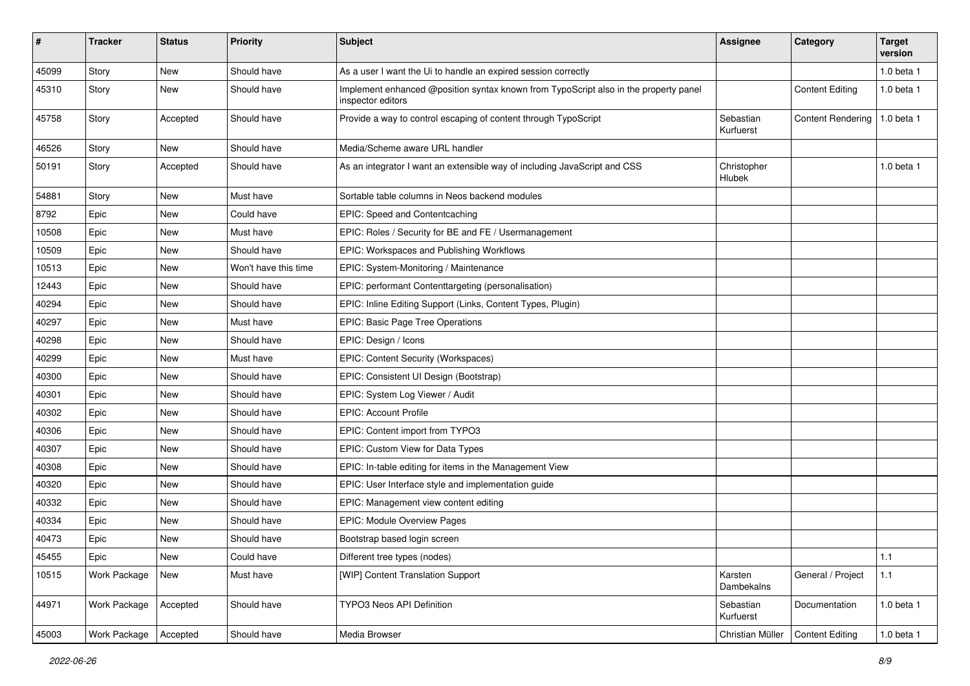| $\pmb{\#}$ | <b>Tracker</b> | <b>Status</b> | <b>Priority</b>      | <b>Subject</b>                                                                                            | <b>Assignee</b>        | Category                 | <b>Target</b><br>version |
|------------|----------------|---------------|----------------------|-----------------------------------------------------------------------------------------------------------|------------------------|--------------------------|--------------------------|
| 45099      | Story          | <b>New</b>    | Should have          | As a user I want the Ui to handle an expired session correctly                                            |                        |                          | 1.0 beta 1               |
| 45310      | Story          | New           | Should have          | Implement enhanced @position syntax known from TypoScript also in the property panel<br>inspector editors |                        | <b>Content Editing</b>   | 1.0 beta 1               |
| 45758      | Story          | Accepted      | Should have          | Provide a way to control escaping of content through TypoScript                                           | Sebastian<br>Kurfuerst | <b>Content Rendering</b> | 1.0 beta 1               |
| 46526      | Story          | <b>New</b>    | Should have          | Media/Scheme aware URL handler                                                                            |                        |                          |                          |
| 50191      | Story          | Accepted      | Should have          | As an integrator I want an extensible way of including JavaScript and CSS                                 | Christopher<br>Hlubek  |                          | 1.0 beta 1               |
| 54881      | Story          | <b>New</b>    | Must have            | Sortable table columns in Neos backend modules                                                            |                        |                          |                          |
| 8792       | Epic           | New           | Could have           | EPIC: Speed and Contentcaching                                                                            |                        |                          |                          |
| 10508      | Epic           | New           | Must have            | EPIC: Roles / Security for BE and FE / Usermanagement                                                     |                        |                          |                          |
| 10509      | Epic           | New           | Should have          | EPIC: Workspaces and Publishing Workflows                                                                 |                        |                          |                          |
| 10513      | Epic           | New           | Won't have this time | EPIC: System-Monitoring / Maintenance                                                                     |                        |                          |                          |
| 12443      | Epic           | New           | Should have          | EPIC: performant Contenttargeting (personalisation)                                                       |                        |                          |                          |
| 40294      | Epic           | New           | Should have          | EPIC: Inline Editing Support (Links, Content Types, Plugin)                                               |                        |                          |                          |
| 40297      | Epic           | New           | Must have            | EPIC: Basic Page Tree Operations                                                                          |                        |                          |                          |
| 40298      | Epic           | <b>New</b>    | Should have          | EPIC: Design / Icons                                                                                      |                        |                          |                          |
| 40299      | Epic           | New           | Must have            | EPIC: Content Security (Workspaces)                                                                       |                        |                          |                          |
| 40300      | Epic           | <b>New</b>    | Should have          | EPIC: Consistent UI Design (Bootstrap)                                                                    |                        |                          |                          |
| 40301      | Epic           | New           | Should have          | EPIC: System Log Viewer / Audit                                                                           |                        |                          |                          |
| 40302      | Epic           | New           | Should have          | <b>EPIC: Account Profile</b>                                                                              |                        |                          |                          |
| 40306      | Epic           | <b>New</b>    | Should have          | EPIC: Content import from TYPO3                                                                           |                        |                          |                          |
| 40307      | Epic           | New           | Should have          | EPIC: Custom View for Data Types                                                                          |                        |                          |                          |
| 40308      | Epic           | New           | Should have          | EPIC: In-table editing for items in the Management View                                                   |                        |                          |                          |
| 40320      | Epic           | New           | Should have          | EPIC: User Interface style and implementation guide                                                       |                        |                          |                          |
| 40332      | Epic           | New           | Should have          | EPIC: Management view content editing                                                                     |                        |                          |                          |
| 40334      | Epic           | New           | Should have          | EPIC: Module Overview Pages                                                                               |                        |                          |                          |
| 40473      | Epic           | New           | Should have          | Bootstrap based login screen                                                                              |                        |                          |                          |
| 45455      | Epic           | New           | Could have           | Different tree types (nodes)                                                                              |                        |                          | $1.1$                    |
| 10515      | Work Package   | New           | Must have            | [WIP] Content Translation Support                                                                         | Karsten<br>Dambekalns  | General / Project        | $1.1$                    |
| 44971      | Work Package   | Accepted      | Should have          | TYPO3 Neos API Definition                                                                                 | Sebastian<br>Kurfuerst | Documentation            | 1.0 beta 1               |
| 45003      | Work Package   | Accepted      | Should have          | Media Browser                                                                                             | Christian Müller       | <b>Content Editing</b>   | $1.0$ beta $1$           |